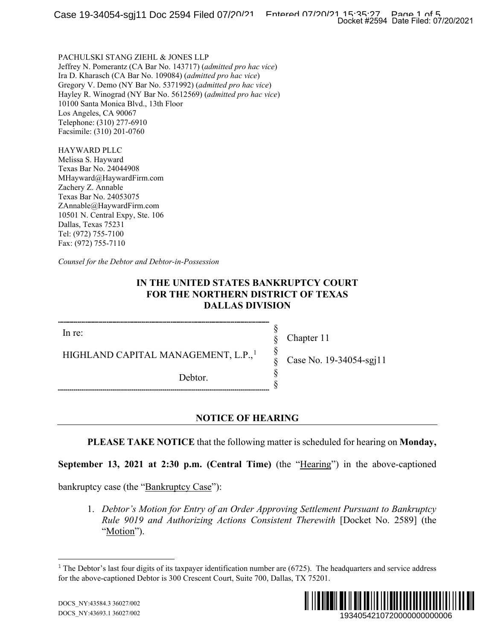PACHULSKI STANG ZIEHL & JONES LLP Jeffrey N. Pomerantz (CA Bar No. 143717) (*admitted pro hac vice*) Ira D. Kharasch (CA Bar No. 109084) (*admitted pro hac vice*) Gregory V. Demo (NY Bar No. 5371992) (*admitted pro hac vice*) Hayley R. Winograd (NY Bar No. 5612569) (*admitted pro hac vice*) 10100 Santa Monica Blvd., 13th Floor Los Angeles, CA 90067 Telephone: (310) 277-6910 Facsimile: (310) 201-0760

HAYWARD PLLC Melissa S. Hayward Texas Bar No. 24044908 MHayward@HaywardFirm.com Zachery Z. Annable Texas Bar No. 24053075 ZAnnable@HaywardFirm.com 10501 N. Central Expy, Ste. 106 Dallas, Texas 75231 Tel: (972) 755-7100 Fax: (972) 755-7110

*Counsel for the Debtor and Debtor-in-Possession*

### **IN THE UNITED STATES BANKRUPTCY COURT FOR THE NORTHERN DISTRICT OF TEXAS DALLAS DIVISION**

In re:

Chapter 11

§ § § § § §

HIGHLAND CAPITAL MANAGEMENT, L.P.,<sup>[1](#page-0-0)</sup>

Debtor.

Case No. 19-34054-sgj11

**NOTICE OF HEARING**

**PLEASE TAKE NOTICE** that the following matter is scheduled for hearing on **Monday,** 

**September 13, 2021 at 2:30 p.m. (Central Time)** (the "Hearing") in the above-captioned

<span id="page-0-0"></span>bankruptcy case (the "Bankruptcy Case"):

1. *Debtor's Motion for Entry of an Order Approving Settlement Pursuant to Bankruptcy Rule 9019 and Authorizing Actions Consistent Therewith* [Docket No. 2589] (the "Motion").

 $1$  The Debtor's last four digits of its taxpayer identification number are (6725). The headquarters and service address for the above-captioned Debtor is 300 Crescent Court, Suite 700, Dallas, TX 75201.

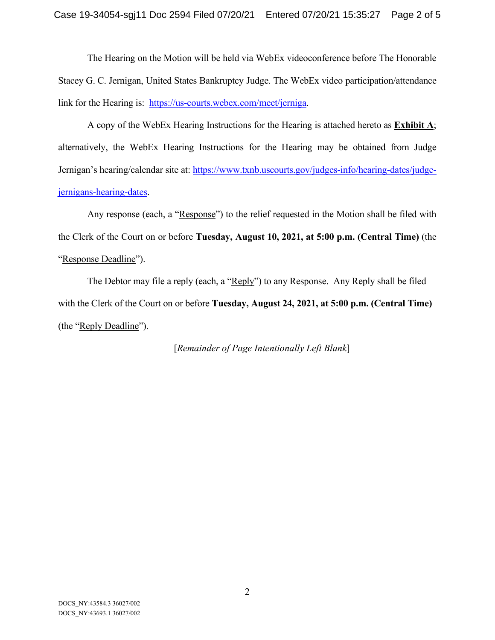The Hearing on the Motion will be held via WebEx videoconference before The Honorable Stacey G. C. Jernigan, United States Bankruptcy Judge. The WebEx video participation/attendance link for the Hearing is: [https://us-courts.webex.com/meet/jerniga.](https://us-courts.webex.com/meet/jerniga)

A copy of the WebEx Hearing Instructions for the Hearing is attached hereto as **Exhibit A**; alternatively, the WebEx Hearing Instructions for the Hearing may be obtained from Judge Jernigan's hearing/calendar site at: [https://www.txnb.uscourts.gov/judges-info/hearing-dates/judge](https://www.txnb.uscourts.gov/judges-info/hearing-dates/judge-jernigans-hearing-dates)[jernigans-hearing-dates.](https://www.txnb.uscourts.gov/judges-info/hearing-dates/judge-jernigans-hearing-dates)

Any response (each, a "Response") to the relief requested in the Motion shall be filed with the Clerk of the Court on or before **Tuesday, August 10, 2021, at 5:00 p.m. (Central Time)** (the "Response Deadline").

The Debtor may file a reply (each, a "Reply") to any Response. Any Reply shall be filed with the Clerk of the Court on or before **Tuesday, August 24, 2021, at 5:00 p.m. (Central Time)** (the "Reply Deadline").

[*Remainder of Page Intentionally Left Blank*]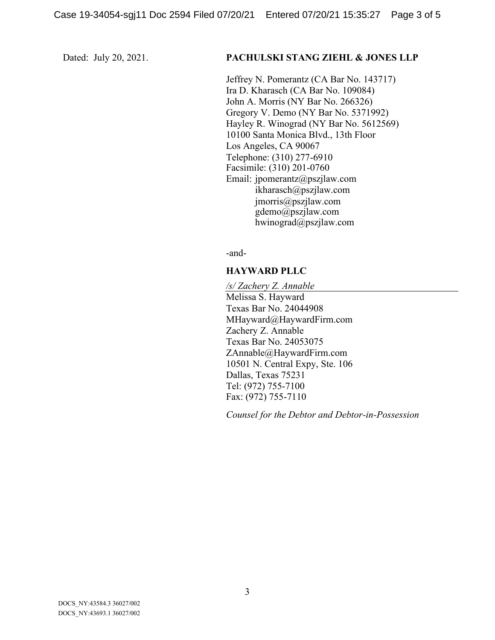#### Dated: July 20, 2021. **PACHULSKI STANG ZIEHL & JONES LLP**

Jeffrey N. Pomerantz (CA Bar No. 143717) Ira D. Kharasch (CA Bar No. 109084) John A. Morris (NY Bar No. 266326) Gregory V. Demo (NY Bar No. 5371992) Hayley R. Winograd (NY Bar No. 5612569) 10100 Santa Monica Blvd., 13th Floor Los Angeles, CA 90067 Telephone: (310) 277-6910 Facsimile: (310) 201-0760 Email: jpomerantz@pszjlaw.com ikharasch@pszjlaw.com jmorris@pszjlaw.com gdemo@pszjlaw.com hwinograd@pszjlaw.com

-and-

#### **HAYWARD PLLC**

*/s/ Zachery Z. Annable* Melissa S. Hayward Texas Bar No. 24044908 MHayward@HaywardFirm.com Zachery Z. Annable Texas Bar No. 24053075 ZAnnable@HaywardFirm.com 10501 N. Central Expy, Ste. 106 Dallas, Texas 75231 Tel: (972) 755-7100 Fax: (972) 755-7110

*Counsel for the Debtor and Debtor-in-Possession*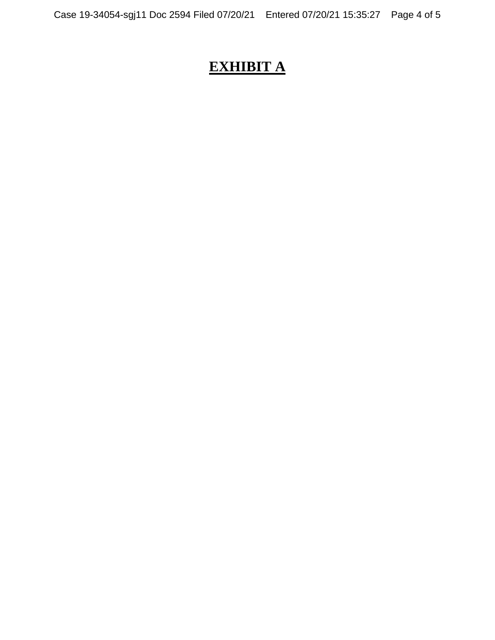# **EXHIBIT A**